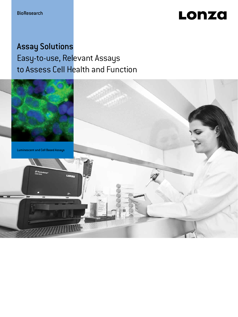# Lonza

## Assay Solutions Easy-to-use, Relevant Assays to Assess Cell Health and Function

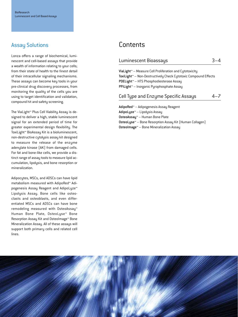### Assay Solutions

Lonza offers a range of biochemical, luminescent and cell-based assays that provide a wealth of information relating to your cells; from their state of health to the finest detail of their intracellular signaling mechanisms. These assays can become key tools in your pre-clinical drug discovery processes, from monitoring the quality of the cells you are using to target identification and validation, compound hit and safety screening.

The ViaLight™ Plus Cell Viability Assay is designed to deliver a high, stable luminescent signal for an extended period of time for greater experimental design flexibility. The ToxiLight™ BioAssay Kit is a bioluminescent, non-destructive cytolysis assay kit designed to measure the release of the enzyme adenylate kinase (AK) from damaged cells. For fat and bone-like cells, we provide a distinct range of assay tools to measure lipid accumulation, lipolysis, and bone resorption or mineralization.

Adipocytes, MSCs, and ADSCs can have lipid metabolism measured with AdipoRed™ Adipogenesis Assay Reagent and AdipoLyze™ Lipolysis Assay. Bone cells like osteoclasts and osteoblasts, and even differentiated MSCs and ADSCs can have bone remodeling measured with OsteoAssay™ Human Bone Plate, OsteoLyse™ Bone Resorption Assay Kit and OsteoImage™ Bone Mineralization Assay. All of these assays will support both primary cells and related cell lines.

### **Contents**

### Luminescent Bioassays 3–4

ViaLight™ – Measure Cell Proliferation and Cytotoxicity ToxiLight™ – Non-Destructively Check Cytotoxic Compound Effects PDELight™ – HTS Phosphodiesterase Assay PPiLight™ – Inorganic Pyrophosphate Assay

### Cell Type and Enzyme Specific Assays 4–7

AdipoRed™ – Adipogenesis Assay Reagent AdipoLyze™ – Lipolysis Assay OsteoAssay™ – Human Bone Plate OsteoLyse™ – Bone Resorption Assay Kit (Human Collagen) OsteoImage™ – Bone Mineralization Assay

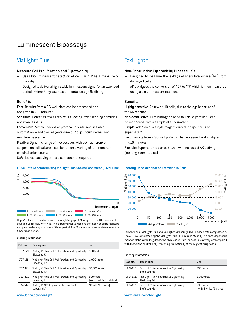### Luminescent Bioassays

### ViaLight™ Plus

### Measure Cell Proliferation and Cytotoxicity

- Uses bioluminescent detection of cellular ATP as a measure of viability
- Designed to deliver a high, stable luminescent signal for an extended period of time for greater experimental design flexibility

#### Benefits

Fast: Results from a 96-well plate can be processed and analyzed in <15 minutes

Sensitive: Detect as few as ten cells allowing lower seeding densities and more assays

Convenient: Simple, no-shake protocol for easy and scalable automation – add two reagents directly to your culture well and read luminescence

Flexible: Dynamic range of five decades with both adherent or suspension cell cultures, can be run on a variety of luminometers or scintillation counters

Safe: No radioactivity or toxic components required

#### EC 50 Data Generated Using ViaLight Plus Shows Consistency Over Time Identify Dose-dependent Activities in Cells



HepG2 cells were incubated with the alkylating agent Mitomycin C for 48 hours and the assayed using ViaLight™ Plus. The experimental values are the mean of eight replicant samples read every hour over a 5 hour period. The EC values remain consistent over the 5 hour read period.

#### Ordering Information

| Cat. No. | <b>Description</b>                                                                     | <b>Size</b>                           |
|----------|----------------------------------------------------------------------------------------|---------------------------------------|
| LT07-221 | ViaLight <sup>*</sup> Plus Cell Proliferation and Cytotoxity 500 tests<br>BioAssay Kit |                                       |
| LT07-121 | ViaLight™ Plus Cell Proliferation and Cutotoxity<br>BioAssay Kit                       | $1.000$ tests                         |
| LT07-321 | ViaLight™ Plus Cell Proliferation and Cytotoxity<br>BioAssay Kit                       | 10.000 tests                          |
| LT17-221 | ViaLight <sup>*</sup> Plus Cell Proliferation and Cutotoxity<br>BioAssay Kit           | 500 tests<br>(with 5 white TC plates) |
| LT17-517 | ViaLight <sup>™</sup> 100% Lysis Control Set [sold<br>separatelu)                      | 10 ml (200 tests)                     |

### ToxiLight™

#### Non-Destructive Cytotoxicity Bioassay Kit

- Designed to measure the leakage of adenylate kinase (AK) from damaged cells
- AK catalyzes the conversion of ADP to ATP which is then measured using a bioluminescent reaction.

#### **Benefits**

Highly sensitive: As few as 10 cells, due to the cyclic nature of the AK reaction

Non-destructive: Eliminating the need to lyse, cytotoxicity can be monitored from a sample of supernatant

Simple: Addition of a single reagent directly to your cells or supernatant

Fast: Results from a 96-well plate can be processed and analyzed in <10 minutes

Flexible: Supernatants can be frozen with no loss of AK activity (for long-term studies)



Comparison of ViaLight™ Plus and ToxiLight™ Kits using HUVECs dosed with camptothecin. The ATP levels indicated by the ViaLight™ Plus RLUs reduce steadily in a dose-dependent manner. At the lower drug doses, the AK released from the cells is relatively low compared with that of the control, only increasing dramatically at the highest drug doses.

#### Ordering Information

| Cat. No.  | <b>Description</b>                                           | Size                                  |
|-----------|--------------------------------------------------------------|---------------------------------------|
| LT07-217  | ToxiLight™ Non-destrucitve Cutotoxitu<br>BioAssay Kit        | 500 tests                             |
| LT07-1117 | ToxiLight™ Non-destrucitve Cutotoxitu<br><b>BioAssay Kit</b> | $1.000$ tests                         |
| LT07-117  | ToxiLight™ Non-destrucitve Cutotoxitu<br><b>BioAssay Kit</b> | 500 tests<br>(with 5 white TC plates) |

[www.lonza.com/vialight](http://www.lonza.com/vialight) [www.lonza.com/toxilight](http://www.lonza.com/toxilight)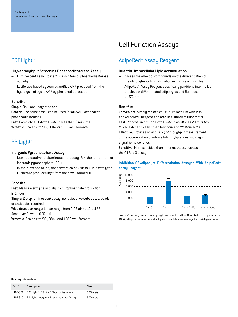## Cell Function Assays

### PDELight™

### High-throughput Screening Phosphodiesterase Assay

- Luminescent assay to identify inhibitors of phosphodiesterase activity
- Luciferase-based system quantifies AMP produced from the hydrolysis of cyclic AMP by phosphodiesterases

### Benefits

Simple: Only one reagent to add

Generic: The same assay can be used for all cAMP dependent phosphodiesterases

Fast: Complete a 384-well plate in less than 3 minutes Versatile: Scalable to 96-, 384-, or 1536-well formats

### PPiLight™

### Inorganic Pyrophosphate Assay

- Non-radioactive bioluminescent assay for the detection of inorganic pyrophosphate (PPi)
- In the presence of PPi, the conversion of AMP to ATP is catalyzed. Luciferase produces light from the newly formed ATP.

### **Benefits**

Fast: Measure enzyme activity via pyrophosphate production in 1 hour

Simple: 2-step luminescent assay; no radioactive substrates, beads, or antibodies required

Wide detection range: Linear range from 0.02 μM to 10 μM PPi Sensitive: Down to 0.02 μM

Versatile: Scalable to 96-, 384-, and 1586-well formats

### AdipoRed™ Assay Reagent

### Quantify Intracellular Lipid Accumulation

- Assess the effect of compounds on the differentiation of preadipocytes or lipid utilization in mature adipocytes
- AdipoRed™ Assay Reagent specifically partitions into the fat droplets of differentiated adipocytes and fluoresces at 572 nm

### **Benefits**

Convenient: Simply replace cell culture medium with PBS, add AdipoRed™ Reagent and read in a standard fluorimeter Fast: Process an entire 96-well plate in as little as 20 minutes. Much faster and easier than Northern and Western blots Effective: Provides objective high-throughput measurement of the accumulation of intracellular triglycerides with high signal-to-noise ratios

Sensitive: More sensitive than other methods, such as the Oil Red O assay

### Inhibition Of Adipocyte Differentiation Assayed With AdipoRed™ Assay Reagent



Poietics™ Primary Human Preadipocytes were induced to differentiate in the presence of TNFα, Mifepristone or no inhibitor. Lipid accumulation was assayed after 4 days in culture.

| Cat. No. | Description                                              | Size      |
|----------|----------------------------------------------------------|-----------|
|          | LT07-600 PDELight <sup>*</sup> HTS cAMP Phospodiesterase | 500 tests |
|          | LT07-610 PPiLight™ Inorganic Pryophosphate Assay         | 500 tests |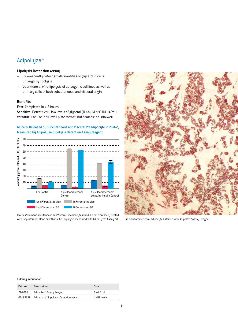### AdipoLyze™

### Lipolysis Detection Assay

- Fluorescently detect small quantities of glycerol in cells undergoing lipolysis
- Quantitate *in vitro* lipolysis of adipogenic cell lines as well as primary cells of both subcutaneous and visceral origin

### Benefits

Fast: Completed in < 2 hours

Sensitive: Detects very low levels of glycerol (0.44 μM or 0.04 μg/ml) Versatile: For use in 96-well plate format, but scalable to 384-well

### Glycerol Released by Subcutaneous and Visceral Preadipocyte in PGM-2, Measured by AdipoLyze Lipolysis Detection AssayReagent



Poietics™ Human Subcutaneous and Visceral Preadipocytes (undiff & differentiated) treated with isoproterenol alone or with insulin. Lipolysis measured with AdipoLyze™ Assay Kit.



Differentiated visceral adipocytes stained with AdipoRed™ Assay Reagent.

| Cat. No. | Description                          | Size               |
|----------|--------------------------------------|--------------------|
| PT-7009  | AdipoRed™ Assay Reagent              | $5\times4.0$ ml    |
| 00193339 | AdipoLyze™ Lipolysis Detection Assay | $1\times96$ -wells |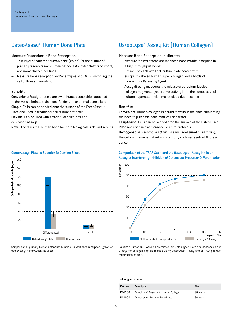### OsteoAssay™ Human Bone Plate

### Measure Osteoclastic Bone Resorption

- Thin layer of adherent human bone (chips) for the culture of primary human or non-human osteoclasts, osteoclast precursors, and immortalized cell lines
- Measure bone resorption and/or enzyme activity by sampling the cell culture supernatant

### Benefits

Convenient: Ready-to-use plates with human bone chips attached to the wells eliminates the need for dentine or animal bone slices Simple: Cells can be seeded onto the surface of the OsteoAssau™ Plate and used in traditional cell culture protocols Flexible: Can be used with a variety of cell types and

cell-based assays

Novel: Contains real human bone for more biologically relevant results

### OsteoLyse™ Assay Kit (Human Collagen)

#### Measure Bone Resorption in Minutes

- Measure *in vitro* osteoclast-mediated bone matrix resorption in a high-throughput format
- Kit includes a 96-well cell culture plate coated with europium-labeled human Type I collagen and a bottle of Fluorophore Releasing Agent
- Assay directly measures the release of europium-labeled collagen fragments (resorptive activity) into the osteoclast cell culture supernatant via time resolved fluorescence

### **Benefits**

Convenient: Human collagen is bound to wells in the plate eliminating the need to purchase bone matrices separately Easy-to-use: Cells can be seeded onto the surface of the OsteoLyse™ Plate and used in traditional cell culture protocols Homogeneous: Resorptive activity is easily measured by sampling the cell culture supernatant and counting via time-resolved fluorescence

### OsteoAssay™ Plate Is Superior To Dentine Slices



Comparison of primary human osteoclast function (*in vitro* bone resorption) grown on OsteoAssay™ Plate vs. dentine slices.

### Comparison of the TRAP Stain and the OsteoLyse™ Assay Kit in an Assay of Interferon  $\gamma$ -inhibition of Osteoclast Precursor Differentiation



Poietics™ Human OCP were differentiated on OsteoLyse™ Plate and assessed after 9 days for collagen peptide release using OsteoLyse™ Assay and or TRAP-positive multinucleated cells.

| Cat. No. | Description                          | Size     |
|----------|--------------------------------------|----------|
| PA-1500  | OsteoLyse™ Assay Kit (HumanCollagen) | 96-wells |
| PA-1000  | OsteoAssay™ Human Bone Plate         | 96-wells |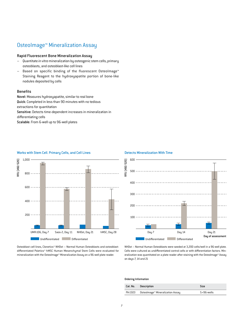### OsteoImage™ Mineralization Assay

### Rapid Fluorescent Bone Mineralization Assay

- Quantitate *in vitro* mineralization by osteogenic stem cells, primary osteoblasts, and osteoblast-like cell lines
- Based on specific binding of the fluorescent OsteoImage™ Staining Reagent to the hydroxyapatite portion of bone-like nodules deposited by cells

### Benefits

Novel: Measures hydroxyapatite, similar to real bone Quick: Completed in less than 90 minutes with no tedious extractions for quantitation Sensitive: Detects time-dependent increases in mineralization in differentiating cells Scalable: From 6-well up to 96-well plates



#### Works with Stem Cell. Primary Cells, and Cell Lines

Osteoblast cell lines, Clonetics™ NHOst – Normal Human Osteoblasts and osteoblastdifferentiated Poietics™ hMSC Human Mesenchymal Stem Cells were evaluated for mineralization with the Osteolmage™ Mineralization Assay on a 96-well plate reader.



Detects Mineralization With Time

NHOst – Normal Human Osteoblasts were seeded at 3,200 cells/well in a 96-well plate. Cells were cultured as undifferentiated control cells or with differentiation factors. Mineralization was quantitated on a plate reader after staining with the Osteolmage™ Assay on days 7, 14 and 21

| Cat. No. Description                     | Size               |
|------------------------------------------|--------------------|
| PA-1503 Osteolmage™ Mineralization Assay | $5\times96$ -wells |